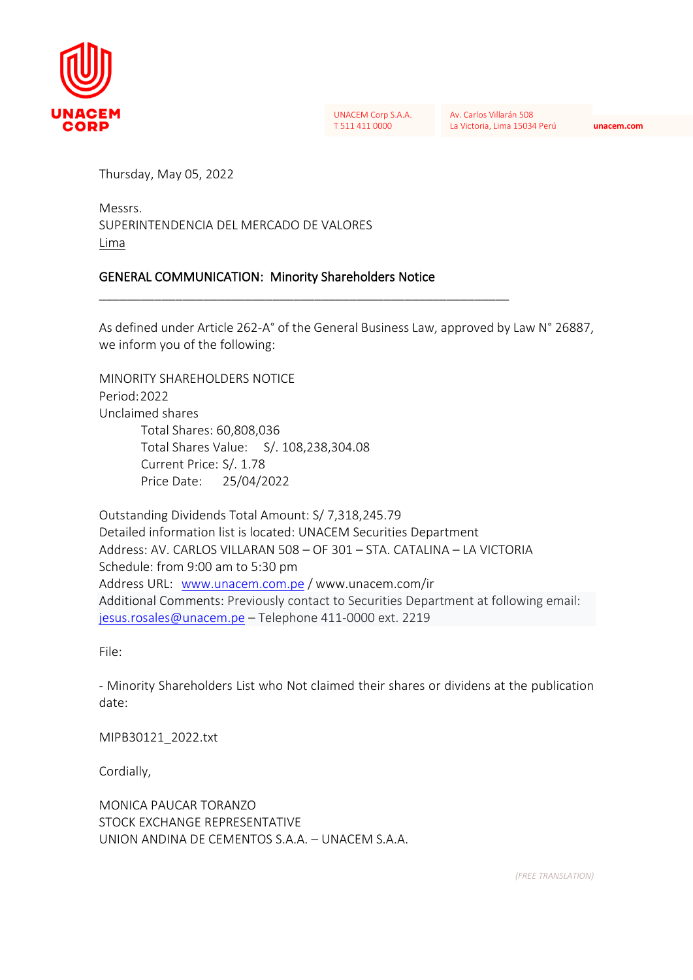

UNACEM Corp S.A.A. T 511 411 0000

Av. Carlos Villarán 508 La Victoria, Lima 15034 Perú **unacem.com**

Thursday, May 05, 2022

Messrs. SUPERINTENDENCIA DEL MERCADO DE VALORES Lima

# GENERAL COMMUNICATION: Minority Shareholders Notice

\_\_\_\_\_\_\_\_\_\_\_\_\_\_\_\_\_\_\_\_\_\_\_\_\_\_\_\_\_\_\_\_\_\_\_\_\_\_\_\_\_\_\_\_\_\_\_\_\_\_\_\_\_\_\_\_\_\_\_

As defined under Article 262-A° of the General Business Law, approved by Law N° 26887, we inform you of the following:

MINORITY SHARFHOLDERS NOTICE Period:2022 Unclaimed shares Total Shares: 60,808,036 Total Shares Value: S/. 108,238,304.08 Current Price: S/. 1.78 Price Date: 25/04/2022

Outstanding Dividends Total Amount: S/ 7,318,245.79 Detailed information list is located: UNACEM Securities Department Address: AV. CARLOS VILLARAN 508 – OF 301 – STA. CATALINA – LA VICTORIA Schedule: from 9:00 am to 5:30 pm Address URL: [www.unacem.com.pe](http://www.unacem.com.pe/) / www.unacem.com/ir Additional Comments: Previously contact to Securities Department at following email: [jesus.rosales@unacem.pe](mailto:jesus.rosales@unacem.pe) – Telephone 411-0000 ext. 2219

File:

- Minority Shareholders List who Not claimed their shares or dividens at the publication date:

MIPB30121\_2022.txt

Cordially,

MONICA PAUCAR TORANZO STOCK EXCHANGE REPRESENTATIVE UNION ANDINA DE CEMENTOS S.A.A. – UNACEM S.A.A.

*(FREE TRANSLATION)*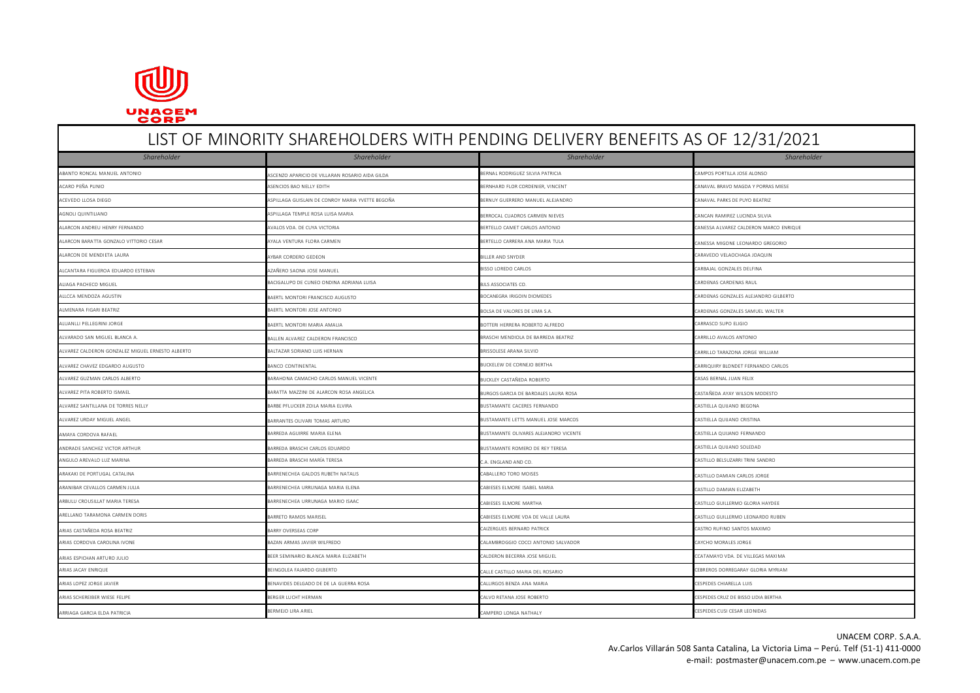

# LIST OF MINORITY SHAREHOLDERS WITH PENDING DELIVERY BENEFITS AS OF 12/31/2021 *Shareholder Shareholder Shareholder Shareholder* ABANTO RONCAL MANUEL ANTONIO ANTONIO ANTONIO ANTONIO ANTONIO A ASCENZO APARICIO DE VILLARAN ROSARIO AIDA GILDA BERNAL RODRIGUEZ SILVIA PATRICIA CAMPOS PORTILLA JOSE ALONSO ASENCIOS BAO NELLY EDITH ASENCIOS BAO NELLY EDITH BERNHARD FLOR CORDENIER, VINCENT CORDENIER, VINCENT CANAVAL BRAVO MAGDA Y PORRAS MIESE ACEVEDO LLOSA DIEGO ASPILLAGA GUISLAIN DE CONROY MARIA YVETTE BEGOÑA BERNUY GUERRERO MANUEL ALEJANDRO CANAVAL PARKS DE PUYO BEATRIZ AGNOLI QUINTILIANO ASPILLAGA TEMPLE ROSA LUISA MARIA ANG ANGLORANO ASPILLAGA TEMPLE ROSA LUADROS CARMEN ALIGNA ANGLORANO ANGLORANO ANGLORANO ANGLORANO ANGLORANO ANGLORANO ANGLORANO ANGLORANO ANGLORANO ANGLORANO ANGLORANO A ALARCON ANDREU HENRY FERNANDO AVALOS VDA. DE CUYA VICTORIA BERTELLO CAMET CARLOS ANTONIO CANESSA ALVAREZ CALDERON MARCO ENRIQUE ALARCON BARATTA GONZALO VITTORIO CESAR ANA ANA ANA ANA MENTURA FLORA CARMEN ANA MARIA TULA CARRERA ANA MARIA TULA CANA ELEONA ELEONARDO GREGORIO GREGORIO ALARCON DE MENDIETA LAURA ANDAR AND AND ARAR CORDERO GEDEON AND SON DE SALLER AND SNYDER CARAVEDO VELAOCHAGA JOAQUIN ALCANTARA FIGUEROA EDUARDO ESTEBAN ANGLES DELFINA AZAÑERO SAONA JOSE MANUEL AZAÑERO SAONA JOSE MANUEL ELE EN ENGLES DELFINA EN ENGLES DELFINA ALIAGA PACHECO MIGUEL CARDENAS RADENAS RAULO DE CUNEO ONDINA ADRIANA LUISA BOLS ASSOCIATES CO. CARDENAS CARDENAS RAULO DE CONDINA ADRIANA LUISA BOLS ASSOCIATES CO. CARDENAS RAULO DE CONDINA ADRIANA LUISA BOLS ANDENAS RAULO ALCCA MENDOZA AGUSTIN BAERTLONI BAERTLONI FRANCISCO AUGUSTO CARDENAS CONZALES AND BOCANEGRA IRIGOIN DIOMEDES COMZALES ALEJANDRO GILBERTO ALMENARA FIGARI BEATRIZ BAERTL MONTORI JOSE ANTONIO BOLSE ANTONIO BOLSA DE VALORES DE LIMA S.A. CARDENAS GONZALES SAMUEL WALTER ALUANLLI PELLEGRINI JORGE BAERTL MONTORI MARIA AMALIA BOTTERI HERRERA ROBERTO ALFREDO CARRASCO SUPO ELIGIO ALVARADO SAN MIGUEL BLANCA A. BALLEN ALVAREZ CALDERON FRANCISCO BRASCHI MENDIOLA DE BARREDA BEATRIZ CARRILLO AVALOS ANTONIO LVAREZ CALDERON GONZALEZ MIGUEL ERNESTO ALBERTO **BALTAZAR SORIANO LUIS HERNAN** BRISSOLES ARANA SILVIO CARRILLO TARAZONA IORGE WILLIAM DREG WILLIAM BRISSOLES ALVAREZ CHAVEZ EDGARDO AUGUSTO BANCO AND BANCO CONTINENTAL BUCKELEW DE CORNEJO BERTHA BUCKELEW DE CORNEJO BERTHA CARRIQUIRY BLONDET FERNANDO CARLOS LVAREZ GUZMAN CARLOS ALBERTO **BARAHONA CAMACHO CARLOS MANUEL VICENTE** BUCKLEY CASTAÑEDA ROBERTO CASAS BERNAL JUAN FELIX ALVAREZ PITA ROBERTO ISMAEL BARATTA MAZZINI DE ALARCON ROSA ANGELICA BURGOS GARCIA DE BARDALES LAURA ROSA CASTAÑEDA AYAY WILSON MODESTO ALVAREZ SANTILLANA DE TORRES NELLY DE ANGLES PREMIÈRE PREUCKER ZOILA MARIA ELVIRA DE PREMIÈRE PREMIÈRE PRESENTANTE CACERES FERNANDO DE CASTIELLA QUIJANO BEGONA ALVAREZ URDAY MIGUEL ANGEL ANGEL BARRANTES OLIVARI TOMAS ARTURO CONSTANTES OLIVARI TOMAS ARTURO CONSTANTE LETTS MANUEL JOSE MARCOS CASTIELLA QUIJANO CRISTINA AMAYA CORDOVA RAFAEL BARRELA AGUIRRE MARIA ELENA BUSTAMANTE OLIVARES ALEJANDRO VICENTE CORDOVA RAFAEL AGUIRNO FERNANDO CORDOVARES ALEJANDRO VICENTE CASTIELLA QUIJANO FERNANDO ANDRADE SANCHEZ VICTOR ARTHUR BARREDA BRASCHI CARLOS EDUARDO BUSTAMANTE ROMERO DE REY TERESA CASTIELLA QUIJANO SOLEDAD ANGULO AREVALO LUZ MARINA BARREDA BRASCHI MARÍA TERESA CASTILLO BRASCHI MARÍA TERESA CASTILLO BELSUZARRI TRINI SANDRO CASTILLO BELSUZARRI TRINI SANDRO ARAKAKI DE PORTUGAL CATALINA BARRENECHEA GALDOS RUBETH NATALIS CABALLERO TORO MOISES CABALLERO TORO MOISES CABALLERO TORO MOISES CASTILLO DAMIAN CARLOS JORGE ARANIBAR CEVALLOS CARMEN JULIA CASTILLO DAMIAN ELIZABETH BARRENECHEA URRUNAGA MARIA ELENA CASTILLO DAMIAN ELIZABETH BARRENECHEA URRUNAGA MARIA ELIZABETH CASTILLO DAMIAN ELIZABETH BARRENECHEA URRUNAGA MARIA ELIZABETH CASTIL ARBULU CROUSILLAT MARIA TERESA DE SARRENECHEA URRUNAGA MARIO ISAAC CABIESES ELMORE MARTHA CABIESES ELMORE MARTHA CASTILLO GUILLERMO GLORIA HAYDEE ARELLANO TARAMONA CARMEN DORIS CARELLANO SUN DE SARRETO RAMOS MARISEL CABIESES ELMORE VON DE VALLE LAURA CASTELLO GUILLERMO LEONARDO RUBEN ARIAS CASTAÑEDA ROSA BEATRIZ CARRY OVERSEAS CORP CAIZERGUES BERNARD PATRICK CAIZERGUES BERNARD PATRICK CASTRO RUFINO SANTOS MAXIMO ARIAS CORDOVA CAROLINA IVONE BAZAN ARMAS JAVIER WILFREDO CALAMBROGGIO COCCI ANTONIO SALVADOR CAYCHO MORALES JORGE ARIAS ESPICHAN ARTURO JULIO CONTENTAL DE SER SEMINARIO BLANCA MARIA ELIZABETH CALDERON BECERRA JOSE MIGUEL CALDERON BECERRA JOSE MIGUEL CONTENCIA DE VILLEGAS MAXIMA ARIAS JACAY ENRIQUE CEBREROS DORREGARAY GLORIA MYRIAM BEINGOLEA FAJARDO GILBERTO CALLE CASTILLO MARIA DEL ROSARIO CALLE CASTILLO MARIA DEL ROSARIO CEBREROS DORREGARAY GLORIA MYRIAM ARIAS LOPEZ JORGE JAVIER BENAVIDES DELGADO DE DE LA GUERRA ROSA CALLIRGOS BENZA ANA MARIA CESPEDES CHIARELLA LUIS ARIAS SCHEREIBER WIESE FELIPE BERGER LUCHT HERMAN CALVO RETANA JOSE ROBERTO CESPEDES CRUZ DE BISSO LIDIA BERTHA ARRIAGA GARCIA ELDA PATRICIA CESPEDES CUSI CESAR LEONIDAS BERMEJO URA ARIEL CAMPERO LONGA NATHALO COMPERO LONGA NATHALY CAMPERO LONGA NATHALY CAMPERO LONGA NATHALY CAMPERO LONGA NATHALY CESPEDES CUSI CESAR LEONIDAS

UNACEM CORP. S.A.A. Av.Carlos Villarán 508 Santa Catalina, La Victoria Lima – Perú. Telf (51-1) 411-0000 e-mail: [postmaster@unacem.com.pe](mailto:postmaster@unacem.com.pe) – [www.unacem.com.pe](http://www.unacem.com.pe/)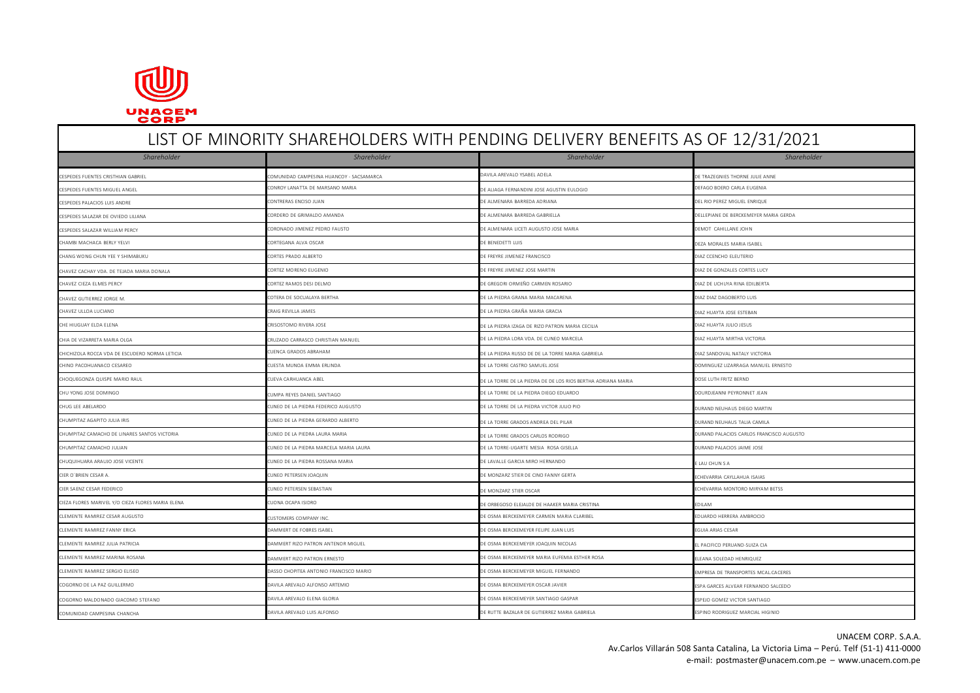

# LIST OF MINORITY SHAREHOLDERS WITH PENDING DELIVERY BENEFITS AS OF 12/31/2021 *Shareholder Shareholder Shareholder Shareholder* COMUNIDAD CAMPESINA HUANCOY - SACSAMARCA DAVILA AREVALO YSABEL ADELA DAVILA AREVALO YSABEL ADELA DAVILA AREVALO YSABEL ADELA DAVILA AREVALO YSABEL ADELA DAVILA AREVALO YSABEL ADELA DAVILA AREVALO YSABEL ADELA DAVILA AREVAL CONROY LANATTA DE MARSANO MARIA DE ANAS ANGEL CONROY LANATTA DE MARSANO MARIA DE ALIAGA FERNANDINI JOSE AGUSTIN EULOGIO CONRO CONRO CARLA EUGENIA DE ACUSTIN EUGENIA DE ACUSTIN EUGENIA DE ACUSTIN EUGENIA DE ACUSTIN EUGENIA CESPEDES PALACIOS LUIS ANDRE CONTREAS ENCISO JUAN CONTRERAS ENCISO JUAN DEL RIO PEREZ MIGUEL ENRIQUE ENRIQUEL<br>CESPEDES PALACIOS LUIS ANDRE CESPEDES SALAZAR DE OVEDO ULIANA DE CORDERO DE GRIMALDO AMANDA DE ALMENARA DE ALMENARA BARREDA GABRIELLA DE LA DELLEPIANE DE DELLEPIANE DE BERCKEMEYER MARIA GERDA CESPEDES SALAZAR WILLIAM PERCY CORONADO SON CORONADO JIMENEZ PEDRO FAUSTO CORONADO SON CORONADO O CORONADO JIMENEZ PEDRO FAUSTO CORONADO A CORONADO A CORONADO JIMENEZ PEDRO FAUSTO CORONADO SON ENTELADO E ALMENARA LICETI AU CHAMBI MACHACA BERLY YELVI CORTEGANA ALVA OSCAR CORTEGANA ALVA OSCAR DE BENEDETTI LUIS DEZA DEZA MORALES MARIA ISABEL CORTES PRADO ALBERTO CORTES PRADO ALBERTO DE ENEVAS DE FREYRE JIMENEZ FRANCISCO DE PREYRE JIMENEZ FRANCISCO DIAZ CCENCHO ELEUTERIO CHAVEZ CACHAY VDA. DE TEJADA MARIA DONALA CORTEZ MORENO EUGENIO DE FREYRE JIMENEZ JOSE MARTIN DE FREYRE JIMENEZ JOSE MARTIN DIAZ DE GONZALES CORTES LUCY CORTEZ RAMOS DESI DELMO CORTEZ RAMOS DESI DELMO DE GREGORI ORMEÑO CARMEÑO CARMEN ROSARIO DE GREGORI ORMEÑO CARMEN ROSARIO DIAZ DE UCHUYA RINA EDILBERTA CHAVEZ GUTIERREZ JORGE M. COTERA DE SOCUALAYA BERTHA DE LA PIEDRA GRANA MARIA MACARENA DIAZ DIAZ DAGOBERTO LUIS CHAVEZ ULLOA LUCIANO CRAIG REVILLA JAMES CRAIG REVILLA JAMES DE LA PIEDRA GRAÑA MARIA GRAÑA MARIA GRACIA CRACIA DIAZ HUAYTA JOSE ESTEBAN CHE HIUGUAY ELENA CHE CHE DE LA PIEDRA IZAGA DE LA PIEDRA IZAGA DE RIZO PATRON MARIA CECILIA DIAZ HUAYTA JULIO JESUS CHIA DE VIZARRETA MARIA OLGA CRUZADO CARRASCO CHRISTIAN MANUEL DE LA PIEDRA LORA VDA. DE CUNEO MARCELA DIAZ HUAYTA MIRTHA VICTORIA CHICHIZOLA ROCCA VDA DE ESCUDERO NORMA LETICIA CUENCA GRADOS ABRAHAM DE LA PIEDRA RUSSO DE DE LA TORRE MARIA GABRIELA DIAZ SANDOVAL NATALY VICTORIA CHESTA MUNOA EMMA ERLINDA EMMA ERLINDA DE LA TORRE CASTRO SAMUEL JOSE DE LA TORRE CASTRO SAMUEL JOSE DE LA TORRE CASTRO SAMUEL DE LA TORRE CASTRO SAMUEL DE LA TORRE CASTRO SAMUEL DE LA TORRE CASTRO SAMUEL DE LA TORRE CASTR CHOQUEGONZA QUISPE MARIO RAUL CUEVA CARHUANCA ABEL DE LA TORRE DE LA PIEDRA DE DE LOS RIOS BERTHA ADRIANA MARIA DOSE LUTH FRITZ BERND CHU YONG JOSE DOMINGO CUMPA REVES DANIEL SANTIAGO CUMPA REVES DANIEL SANTIAGO CHU ANNO 2012 DE LA TORRE DE LA PIEDRA DIEGO EDUARDO COMPONENT DE DOURDJEANNI PEYRONNET JEAN CHUG LEE ABELARDO CUNEO DE LA PIEDRA FEDERICO AUGUSTO CHUG LA PORTUNIDA DE LA TORRE DE LA PIEDRA VICTOR JULIO PIO COMPONENTA DE LA PIEDRA VICTOR JULIO PIO COMPONENTA DE LA PIEDRA VICTOR JULIO PIO COMPONENTA DE LA PIEDRA VI CHUMPITAZ AGAPITO JULIA IRIS CUNEO DE LA PUNCO DE LA PIEDRA GERARDO ALBERTO CHUMPO DE LA TORRE GRADOS ANDREA DEL PILAR CHUMPO DE LA TORRE GRADOS ANDREA DEL PILAR CHUMPO DE LA TORRE GRADOS ANDREA DEL PILAR CHUMPO DE LA TORR CHUMPITAZ CAMACHO DE LINARES SANTOS VICTORIA CUNEO DE LA PIEDRA LAURA MARIA DE LA TORRE GRADOS CARLOS RODRIGO DURAND PALACIOS CARLOS FRANCISCO AUGUSTO CHUMPITAZ CAMACHO JULIAN CUNEO DE LA PIEDRA MARCELA MARIA LAURA DE LA TORRE-UGARTE MESIA ROSA GISELLA DE LA TORRE-UGARTE MESIA ROSA GISELLA DURAND PALACIOS JAIME JOSE CHUQUIHUARA ARAUJO JOSE VICENTE CUNEO DE LA DE LAUDEO DE LA PIEDRA ROSSANA MARIA DE LA DE LA VILLE GARCIA MIRO HERNANDO DE LA DE LA DE LAU CHUN S A CIER O´BRIEN CESAR A. CHENDRIA AN CUNEO PETERSEN JOAQUIN CUNEO DE MONZARZ STIER DE CINO FANNY GERTA AN CHENDRIA CAYLLAHUA ISAIAS CIER SAENZ CESAR FEDERICO CUNEO PETERSEN SEBASTIAN CUNEO PETERSEN SEBASTIAN DE MONZARZ STIER OSCAR DE MONZARZ STIER OSCAR CHE SAENZARZ STIER OSCAR CHE SAENZARZ STIER OSCAR CHE SAENZARZ STIER OSCAR CHE SAENZARZ STIER OSCAR CIEZA FLORES MARIVEL Y/O CIEZA FLORES MARIA ELENA COMPUNIDADE DE ORBEGOSO ELEJALDE DE ORBEGOSO ELEJALDE DE HAAKER MARIA CRISTINA EDILAM EDILAM EDILAM EDILAM EDILAM EDILAM EDILAM EDILAM EDILAM EDILAM EDILAM EDILAM EDILAM ED CLEMENTE RAMIREZ CESAR AUGUSTO CUSTOMERS COMPANY INC. DE OSMA BERCKEMEYER CARMEN MARIA CLARIBEL EDUARDO HERRERA AMBROCIO CLEMENTE RAMIREZ FANNY ERICA DAN DAMMERT DE FOBRES ISABEL DAMMERT DE FOBRES ISABEL DE OSMA BERCKEMEYER FELIPE JUAN LUIS DE OSMA BERCKEMEYER FELIPE JUAN LUIS DE OSMA BERCKEMEYER FELIPE JUAN LUIS DE OSMA BERCKEMEYER FELIPE J CLEMENTE RAMIREZ JULIA PATRICIA DAMMERT RIZO PATRON ANTENOR MIGUEL DE OSMA BERCKEMEYER JOAQUIN NICOLAS EL PACIFICO PERUANO-SUIZA CIA CLEMENTE RAMIREZ MARINA ROSANA DAMMERT RIZO PATRON ERNESTO DE OSMA BERCKEMEYER MARIA EUFEMIA ESTHER ROSA ELEANA SOLEDAD HENRIQUEZ CLEMENTE RAMIREZ SERGIO ELISEO DASSO CHOPITEA ANTONIO FRANCISCO MARIO DE OSMA BERCKEMEYER MIGUEL FERNANDO EMPRESA DE TRANSPORTES MCAL.CACERES OGORNO DE LA PAZ GUILLERMO DA COGORA ESPA AREVALO ALFONSO ARTEMIO DE LA PAZ ARCES ALVEAR ESPA GARCES ALVEAR ESPA GARCES ALVEAR FERNANDO SALCEDO CORNO MALDONADO GIACOMO STEFANO DAVILA AREVALO ELENA GLORIA DAVILA AREVALO ELENA GLORIA DE OSMA DE OSMA BERCKEMEYER SANTIAGO GASPAR ESPEJO GOMEZ VICTOR SANTIAGO GASPAR ESPEJO GOMEZ VICTOR SANTIAGO GASPAR ESPEJO GOMEZ VICTO CAMPESINA CHANCHA DAVILA AREVALO LUIS ALFONSO DE RUTTE BAZALAR DE GUTIERREZ MARIA GABRIELA ESPINO RODRIGUEZ MARCIAL HIGINIO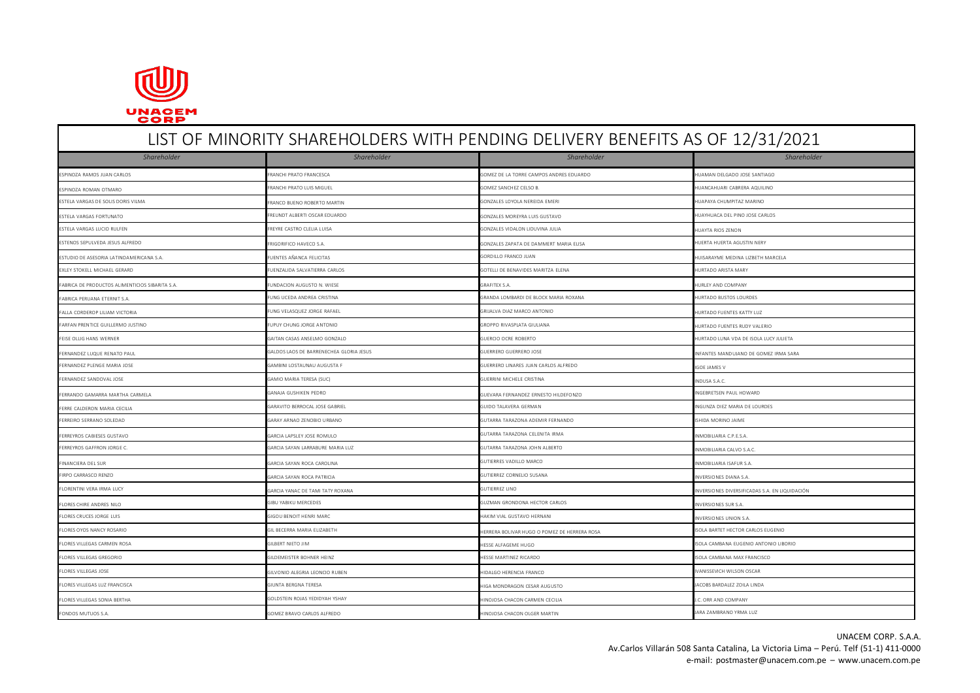

# LIST OF MINORITY SHAREHOLDERS WITH PENDING DELIVERY BENEFITS AS OF 12/31/2021 *Shareholder Shareholder Shareholder Shareholder* ESPINOZA RAMOS JUAN CARLOS CONTENTES EN CONTRATO FRANCHI PRATO FRANCESCA COMEZ DE LA TORRE CAMPOS ANDRES EDUARDO COMEZ DE LA TORRE CAMPOS ANDRES EDUARDO COMEZ DE LA TORRE CAMPOS ANDRES EDUARDO HUAMAN DELGADO JOSE SANTIAGO ESPINOZA ROMAN OTMARO COMPOSTADO EN ERANCHI PRATO LUIS MIGUEL GOMEZ SANCHEZ CELSO BANCHEZ CELSO B. COMEZ SANCHEZ CELSO BANCHEZ CELSO BANCHEZ CELSO BANCHEZ CELSO BANCHEZ CELSO BANCHEZ CELSO BANCHEZ CELSO BANCHEZ CELSO BANCH ESTELA VARGAS DE SOLIS DORIS VILMA EN ARTINO EN ANGLO-MARTIN GONZALES LOYOLA NEREIDA EMERITA EMERITA EMERITA EMERITAZ MARINO BUENO ROBERTO MARTIN FRANCO BUENO ROBERTO MARTIN ESTELA VARGAS FORTUNATO CON EL PINO JOSE CARLOS EN ENTERITOSCAR EDUARDO CONZALES MOREYRA LUIS GUSTAVO GONZALES MOREYRA LUIS GUSTAVO GONZALES MOREYRA LUIS GUSTAVO CONZALES MOREYRA LUIS GUSTAVO CONZALES MOREYRA LUIS GUSTAVO ESTELA VARGAS LUCIO RULFEN GONZALES MONTENE CASTRO CLELIA LUISA GONZALES VIDALON LOUDO LOUDO DUVINA JULIA HUATA RIOS ZENON HUAYTA RIOS ZENON ESTENOS SEPULVEDA JESUS ALFREDO FRIGORIFICO HAVECO S.A. GONZALES ZAPATA DE DAMMERT MARIA ELISA HUERTA HUERTA HUERTA AGUSTIN NERY ESTUDIO DE ASESORIA LATINOAMERICANA S.A. CHENTES AÑANCA FELICITAS GORDILLO FRANCO JUAN HUISARAYME MEDINA LIZBETH MARCELA ELENTES AÑANCA FELICITAS CORDILLO FRANCO JUAN HUISARAYME MEDINA LIZBETH MARCELA EXLEY STOKELL MICHAEL GERARD FUENZALIDA SALVATIERRA CARLOS GOTELLI DE BENAVIDES MARITZA ELENA HURTADO ARISTA MARY FABRICA DE PRODUCTOS ALIMENTICIOS SIBARITA S.A. FUNDACION AUGUSTO N. WIESE GRAFITEX S.A. GRAFITEX S.A. GRAFITEX S.A. GRAFITEX S.A. HURLEY AND COMPANY FABRICA PERUANA ETERNIT S.A. FUNG UCEDA ANDREA CRISTINA GRANDA LOMBARDI DE BLOCK MARIA ROXANA HURTADO BUSTOS LOURDES FALLA CORDEROP LILIAM VICTORIA FUNG TELASQUEZ UNG VELASQUEZ JORGE RAFAEL GRIJALVA DIAZ MARCO ANTONIO GRIJALVA DIAZ MARCO ANTONIO GRIJALVA DIAZ MARCO ANTONIO HURTADO FUENTES KATTY LUZ FARFAN PRENTICE GUILLERMO JUSTINO FUENTES RUDY VALLERIO FUPUY CHUNG JORGE ANTONIO GALERIO FUENTES RUDY CHURTADO FUENTES RUDY VALERIO FEISE OLLIG HANS WERNER GAITAN CASAS ANSELMO GONZALO GUERCIO OCRE ROBERTO HURTADO LUNA VDA DE ISOLA LUCY JULIETA er and the serve of the companishment of the GALDOS LAOS DE BARRENECHEA GLORIA JESUS GUERRERO SOME GUERRERO JOSE GUERRERO JOSE INFANTES MANDUJANO DE GOMEZ IRMA SARA FERNANDEZ PLENGE MARIA JOSE GAMBINI LOSTAUNAU AUGUSTA HAUGUSTA F GUERRERO LINARES JUAN CARLOS ALFREDO IGOE GAMBINI LOSTAUNES VON GUERRERO LINARES JUAN CARLOS ALFREDO IGOE JAMES VIAN GUERRERO LINARES JUAN CARLOS ALFREDO IGO FERNANDEZ SANDOVAL JOSE GAMIO MARIA TERESA (SUC) GAMIO MARIA TERESA (SUC) GUERRINI MICHELE CRISTINA INDUSA S.A.C. INDUSA S.A.C. FERRANDO GAMARRA MARTHA CARMELA GANAJA GUSHIKEN PEDRO GUEVARA FERNANDEZ ERNESTO HILDEFONZO INGEBRETSEN PAUL HOWARD ERRE CALDERON MARIA CECILIA GARAVITO BERROCAL JOSE GABRIEL GARAVITO BERROCAL JOSE GABRIEL GUIDO TALAVERA GERMAN GUIDO TALAVERA GERMAN INGUNZA DIEZ MARIA DE LOURDES FERREIRO SERRANO SOLEDAD GARAY ARNAO ZENOBIO URBANO GUTARRA TARAZONA ADEMIR FERNANDO ISHIDA MORINO JAIME FERREYROS CABIESES GUSTAVO GARCIA LAPSLEY JOSE ROMULO GUTARRA TARAZONA CELENITA IRMA INMOBILIARIA C.P.E.S.A. FERREYROS GAFFRON JORGE C. GARCIA SAYAN LARRABURE MARIA LUZ GUTARRA TARAZONA JOHN ALBERTO INMOBILIARIA CALVO S.A.C. FINANCIERA DEL SUR GARCIA SAYAN ROCA CAROLINA GUTIERRES VADILLO MARCO GUTIERRES VADILLO MARCO INMOBILIARIA ISAFUR S.A. FIRPO CARRASCO RENZO ENCORNERO GARCIA SAYAN ROCA PATRICIA GARCIA SAYAN ROCA PATRICIA GUTIERREZ CORNELIO SUSANA GUTIERREZ CORNELIO SUSANA GUTIERREZ CORNELIO SUSANA INVERSIONES DIANA S.A. FLORENTINI VERA IRMA LUCY GARCIA YANAC DE TAMI TATY ROXANA GUTIERREZ LINO INVERSIONES DIVERSIFICADAS S.A. EN LIQUIDACIÓN FLORES CHIRE ANDRES NILO GIBU YABIKU MERCEDES GIBU YABIKU MERCEDES GUZMAN GRONDONA HECTOR CARLOS GUZMAN GRONDONA HECTOR CARLOS GUZMAN GRONDONA HECTOR CARLOS GUZMAN GRONDONA HECTOR CARLOS GALOS GALOS SUR S.A. FLORES CRUCES JORGE LUIS CRUCES DESPAINS AND ALLEGED OF THE SECOND BENOIT HERNANI CHARGE THE SECOND BENOIT HERNANI CHARGE THE SECOND BALKIM VIAL GUSTAVO HERNANI CHARGE THE SECOND S.A. ERERA MARIA ELIZABETH GIL BECERRA MARIA ELIZABETH HERRERA BOLIVAR HUGO O POMEZ DE HERRERA ROSA ISOLA BARTET HECTOR CARLOS EUGENIO FLORES VILLEGAS CARMEN ROSA GILBERT NIETO JIM HESSE ALFAGEME HUGO ISOLA CAMBANA EUGENIO ANTONIO LIBORIO FLORES VILLEGAS GREGORIO GILDEMEISTER BOHNER HEINZ HESSE MARTINEZ RICARDO ISOLA CAMBANA MAX FRANCISCO FLORES VILLEGAS JOSE GILVONIO ALEGRIA LEONCIO RUBEN HIDALGO HERENCIA FRANCO IVANISSEVICH WILSON OSCAR FLORES VILLEGAS LUZ FRANCISCA GIUNTA BERGNA TERESA HIGA MONDRAGON CESAR AUGUSTO JACOBS BARDALEZ ZOILA LINDA FROM SOLDSTEIN ROJAS YEDIDYAH YSHAY AGOLDSTEIN ROJAS YEDIDYAH YSHAY HINOJOSA CHACON CARMEN CECILIA J.C. ORR AND COMPANY GOLDSTEIN ROJAS YEDIDYAH YSHAY AGOLDSTEIN ROJAS YEDIDYAH YSHAY TAGA TAGA ON TAGA HINOJOSA CHACON CARME MINOS S.A. GOMEZ BRAVO CARLOS ALFREDO GOMEZ BRAVO CARLOS ALFREDO HINOJOSA CHACON OLGER MARTIN HINOJOSA CHACON OLGER MARTIN ARA ZAMBRANO YRMA LUZ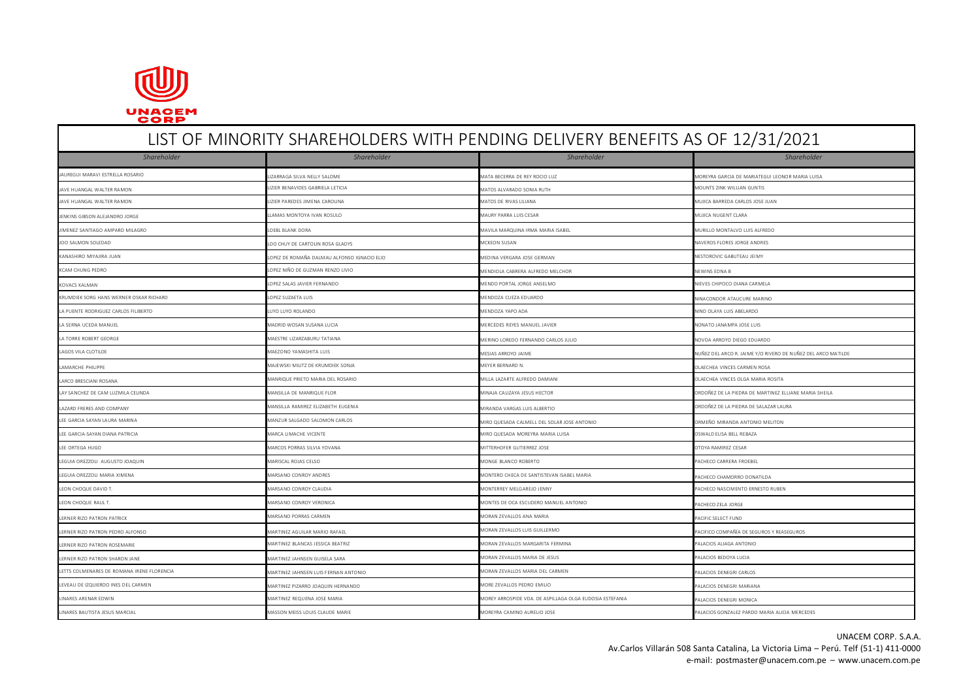

# LIST OF MINORITY SHAREHOLDERS WITH PENDING DELIVERY BENEFITS AS OF 12/31/2021 *Shareholder Shareholder Shareholder Shareholder* MARAVI ESTRELLA ROSARIO **LEONOR MARAGA SILVA NELLY SALOME** MATA BECERRA DE REY ROCIO LUZ MATA BECERRA DE REY ROCIO LUZ MOREYRA GARCIA DE MARIATEGUI LEONOR MARIA LUISA JAVE HUANGAL WALTER RAMON LIZIER BENAVIDES GABRIELA LETICIA MATOS ALVARADO SONIA RUTH MOUNTS ZINK WILLIAN GUNTIS JAVE HUANGAL WALTER RAMON LIZIER PAREDES JIMENA CAROLINA MATOS DE RIVAS LILIANA MUJICA BARREDA CARLOS JOSE JUAN JENKINS GIBSON ALEJANDRO JORGE NEWSLO NEWSLO LLAMAS MONTOYA IVAN ROSULO NAURY ARRA LUIS CESAR MUJICA NUGENT CLARA NUGENT CLARA NUGENT CLARA NUGENT CLARA NUGENT CLARA NUGENT CLARA NUGENT CLARA NUGENT CLARA NUGENT CLARA NUGE JIMENEZ SANTIAGO AMPARO MILAGRO LOEBL BLANK DORA MAVILA MARQUINA IRMA MARIA ISABEL MURILLO MONTALVO LUIS ALFREDO JOO SALMON SOLEDAD NAVEROS FLORES JORGE ANDRES LOO CHUY DE CARTOLIN ROSA GLADYS MCKEON SUSAN MCKEON SUSAN MCKEON SUSAN MCKEON SUSAN MCKEON SUSAN MCKEON SUSAN MAVEROS FLORES JORGE ANDRES KANASHIRO MIYAJIRA JUAN NESTOROVIC GABUTEAU JEIMY NESTOROVIC GABUTEAU JEIMY NESTOROVIC GABUTEAU JEIMY NESTOROVIC GABUTEAU JEIMY NESTOROVIC GABUTEAU JEIMY NESTOROVIC GABUTEAU JEIMY NESTOROVIC GABUTEAU JEIMY NESTOROVIC GABUT KCAM CHUNG PEDRO LOPEZ NIÑO DE GUZMAN RENZO LIVIO NEWINS EDNA BRIZO LIVIO NEWINS EDNA BRIZO LIVIO NEWINS EDNA BRIZO LIVIO KOVACS KALMAN NEWS CHIPOCO DIANA CARMELA LOPEZ SALAS JAVIER FERNANDO **MENDO PORTAL JORGE ANSELMO NIEVES CHIPOCO DIANA CARMELA** KRUMDIEK SORG HANS WERNER OSKAR RICHARD LOPEZ SUZAETA LUIS LOPEZ SUZAETA LUIS NEW DENDOZA CUEZA EDUARDO NENDOZA CUEZA EDUARDO NINACONDOR ATAUCURE MARINO LA PUENTE RODRIGUEZ CARLOS FILIBERTO **LUYO LUYO LUYO LUYO LUYO LUYO ROLANDO** MENDOZA YAPO ADA MENDOZA YAPO ADA NINO ALI SALARDO NINO OLAYA LUIS ABELARDO LA SERNA UCEDA MANUEL NONATO JANAMPA JOSE LUIS MADRID WOSAN SUSANA LUCIA NADRID WOSAN SUSANA LUCIA NERCEDES REYES MANUEL JAVIER NADRID WOSAN SUSANA LUCIA NADRID WOSAN SUSANA LUCIA NADRID WOSAN SUSANA LUCIA NADRID WOSAN SUS A TORRE ROBERT GEORGE MAESTRE LIZARZABURU TATIANA MAESTRE LIZARZABURU TATIANA MAESTRE LIZARZABURU TATIANA MAESTRE LIZARZABURU TATIANA MAESTRE LIZARZABURU TATIANA MAESTRE LIZARZABURU TATIANA MAESTRE LIZARZABURU TATIANA MAES MAEZONO YAMASHITA LUIS MAEZONO YAMASHITA LUIS CHOOL DE LAGOS ARROYO JAIME NESAS ARROYO JAIME NUÑEZ DEL ARCO RE ANNE Y/O RIVERO DE NUÑEZ DEL ARCO MATILDE LAMARCHE PHILIPPE **MAJEWSKI MILITZ DE KRUMDIEK SONJA** MEYER BERNARD N. MEYER BERNARD N. OLAECHEA VINCES CARMEN ROSA LARCO BRESCIANI ROSANA MARIA ROSTA MARIA ROSTA MARIA ROSTA MARIA ROSTA MARIA ROSTA MARIA ROSTA MARIA ROSTA MARIA ROSTA MARIA ROSTA MARIA ROSTA MARIA ROSTA MARIA ROSTA MARIA ROSTA MARIA ROSTA DA MARIA ROSTA DA MARIA ROSTA D LAY SANCHEZ DE CAM LUZMILA CELINDA MANSILLA DE MANRIQUE FLOR MANRIQUE FLOR MANTINEZ ELLIANE MANSILLA DE MANRIQUE FLOR MANRIQUE FLOR MANTINEZ ELLIANE MANTINEZ ELLIANE MARIA SHEILA LAZARD FRERES AND COMPANY MANSILLA RAMIREZ ELIZABETH EUGENIA MIRANDA VARGAS LUIS ALBERTIO ORDOÑEZ DE LA PIEDRA DE SALAZAR LAURA LEE GARCIA SAYAN LAURA MARINA MARINA MANZUR SALGADO SALOMON CARLOS MANZUR SALGADO SALOMON CARLOS MANZUR SALGADO SALOMON CARLOS MANZUR SALGADO SALOMON CARLOS MANZUR SALGADO SALOMON CARLOS MANZUR SALGADO SALOMON CARLOS MANZU LEE GARCIA-SAYAN DIANA PATRICIA **MARCA DIANA DIANA DIANA DIANA DIANA DIANA DIANA PATRICIA MARIA DIANA DIANA DIANA DIANA DIANA DIANA DIANA DIANA DIANA DIANA DIANA DIANA DIANA DIANA DIANA DIANA DIANA DIANA DIANA DIANA DIANA** LEE ORTEGA HUGO MARCOS PORRAS SILVIA YOVANA MARCOS PORRAS SILVIA YOVANA MITTERHOFER GUTIERREZ JOSE MITTERHOFER GUTIERREZ JOSE SARVIREZ CESAR LEGUIA OREZZOLI AUGUSTO JOAQUIN MARISCAL ROJAS CELSO MONGE BLANCO ROBERTO PACHECO CARRERA FROEBEL LEGUIA OREZZOLI MARIA XIMENA MARSANO CONROY ANDRES MONTERO CHECA DE SANTISTEVAN ISABEL MARIA PACHECO CHAMORRO DONATILDA LED MARSANO CONROY CLAUDIA MARSANO CONROY CLAUDIA MONTERREY MELGARELO JENNY MONTERREY MELGARELO JENNY PACHECO NASCIMENTO ERNESTO RUBEN LEON CHOQUE RAUL T. MARSANO CONROY VERONICA MARSANO CONROY VERONICA MONTES DE OCA ESCUDERO MANUEL ANTONIO MANUEL ANTONIO LERNER RIZO PATRON PATRICK CHARGE SELECT FUND MARSANO PORRAS CARMEN MORAN AND MORAN ZEVALLOS ANA MARIA PACIFIC SELECT FUND PACIFIC SELECT FUND MARTINEZ AGUILAR MARTINEZ AGUILAR MARIO RAFAEL MORAN ZEVALLOS LUIS GUILLERMO PACIFICO COMPAÑÍA DE SEGUROS Y REASEGUROS PREASEGUROS PREASEGUROS PREASEGUROS PREASEGUROS PREASEGUROS PREASEGUROS PREASEGUROS PREASEGUROS PREASEG LERNER RIZO PATRON ROSEMARIE **MARTINEZ BLANCAS JESSICA BEATRIZ** MORAN ZEVALLOS MARGARITA FERMINA PALACIOS ALIAGA ANTONIO LERNER RIZO PATRON SHARON JANE MARTINEZ JAHNSEN GUISELA SARA MARTINEZ JAHNSEN GUISELA SARA MORAN ZEVALLOS MARTINEZ JAHNSEN GUISELA SARA MORAN ZEVALLOS MARTINEZ JAHNSEN GUISELA SARA MORAN ZEVALLOS MARTINEZ JAHNSEN GUISELA S LETTS COLMENARES DE ROMANA IRENE FLORENCIA MARTINEZ JAHNSEN LUIS FERNAN ANTONIO MORAN ZEVALLOS MARIA DEL CARMEN PALACIOS DENEGRI CARLOS LEVEAU DE IZQUIERDO INES DEL CARMEN MARTINEZ PIZARRO JOAQUIN HERNANDO MORE ZEVALLOS PEDRO EMILIO PALACIOS DENEGRI MARIANA MARTINEZ REQUENA JOSE MARTINEZ REQUENA JOSE MARIA MOREY ARROSPIDE VOA. DE ASPILLAGA OLGA EUDOSIA ESTEFANIA PALACIOS DENEGRI MONICA NARES BAUTISTA JESUS MARCIAL CONTRACTEDES MASSON MEISS LOUIS CLAUDE MARIE CONTRACTEDES MARIE MOREYRA CAMINO AURELIO JOSE PALACIOS CONZALEZ PARDO MARIA ALICIA MERCEDES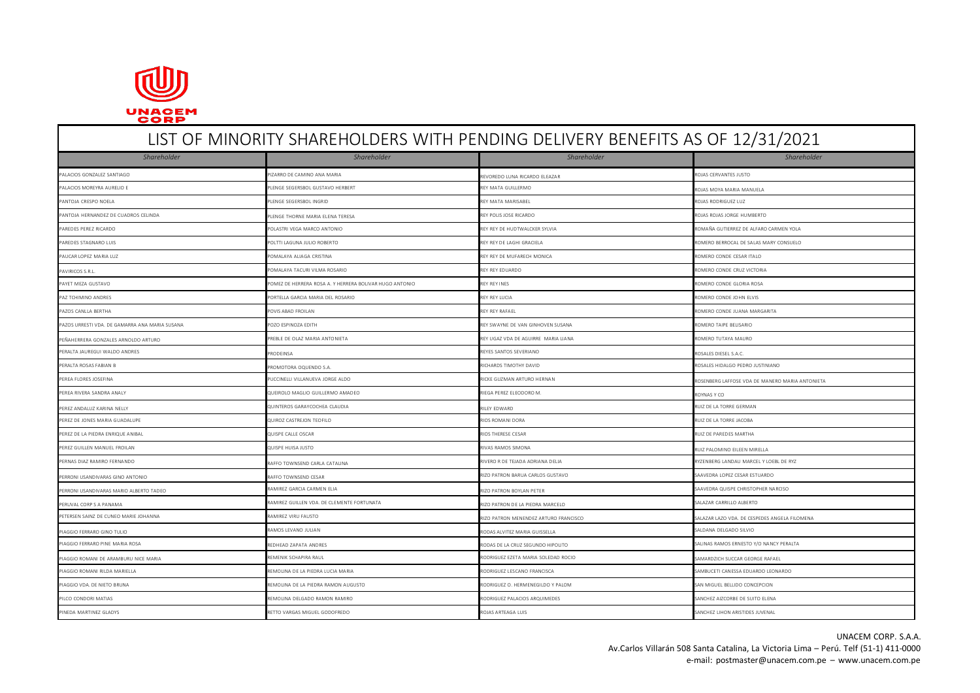

# LIST OF MINORITY SHAREHOLDERS WITH PENDING DELIVERY BENEFITS AS OF 12/31/2021 *Shareholder Shareholder Shareholder Shareholder* PALACIOS GONZALEZ SANTIAGO **processo en control de processo de CAMINO ANA MARIA** revoredo luna ricardo eleazar revoredo luna ricardo eleazar romano eleazar romano eleazar romano eleazar romano eleazar romano eleazar romano PALACIOS MOREYRA AURELIO E CONSTANTINO E PLENGE SEGERSBOL GUSTAVO HERBERT CHE ANNO 2002 ANNO 2002 ANNO 2002 AURELARD REY MATA GUILLERMO CHE ANNO 2002 ANNO 2002 ANNO 2002 ANNO 2002 ANNO 2002 ANNO 2002 ANNO 2002 ANNO 2002 AN PANTOJA CRESPO NOELA POLAS RODRIGUEZ LUZ PLENGE SEGERSBOL INGRID REY MATA MARISABEL REY MATA MARISABEL REY MATA MARISABEL REGERSBOL INGRID REY MATA MARISABEL REGERSBOL INGRID REY MATA MARISABEL REGERSBOL INGRID REY MATA MA PANTOJA HERNANDEZ DE CUADROS CELINDA PLENGE THORNE MARIA ELENA TERESA REY POLIS JOSE RICARDO PLENGE THORNE MARIA ELENA TERESA ROJAS JORGE HUMBERTO POLASTRI VEGA MARCO ANTONIO POLASTRI VEGA MARCO ANTONIO REY REY DE HUDTWALCKER SYLVIA ROMAÑA GUTIERREZ DE ALFARO CARMEN YOLA POLTTI LAGUNA JULIO ROBERTO CONSUELO REY REY DE LAGHI GRACIELA ROMERO BERROCAL DE SALAS MARY CONSUELO POMALAYA ALIAGA CRISTINA REY REY DE MUFARECH MONICA REY REY DE MUFARECH MONICA ROMERO CONDE CESAR ITALO POMALAYA TACURI VILMA ROSARIO POMALAYA TACURI VILMA ROSARIO REY REY EDUARDO REY REY EDUARDO ROMERO CONDE CRUZ VICTORIA ROMERO CONDE CRUZ VICTORIA POMEZ DE HERRERA ROSA A. Y HERRERA ROSA A. Y HERRERA BOLIVAR HUGO ANTONIO POMEZ DE HERRERA BOLIVAR HUGO ANTONIO PAZ TCHIMINO ANDRES PORTELLA GARCIA MARIA DEL ROSARIO REY REY LUCIA ROMERO CONDE JOHN ELVIS PAZOS CANLLA BERTHA POVIS ABAD FROILAN POVIS ABAD FROILAN POVIS ABAD FROILAN REY REY REFRAFAEL ROMERO CONDE DUANA MARGARITA PAZOS URRESTI VDA. DE GAMARRA ANA MARIA SUSANA POZO ESPINOZA EDITH POZO ESPINOZA EDITH POZO ESPINOZA EDITH POZO ESPINOZA EDITH POZO ESPINOZA EDITH POZO ESPINOZA EDITH POZO ESPINOZA EDITH POZO ESPINOZA EDITH POZO ESPINOZA E PENDERA GONZALES ARNOLDO ARTURO PREBLE DE OLAZ MARIA ANTONIETA REY UGAZ VDA DE AGUIRRE MARIA LIANA REY UGAZ VDA DE AGUIRRE MARIA LIANA ROMERO TUTAYA MAURO TUTAYA MAURO TUTAYA MAURO TUTAYA MAURO PREBLE DE OLAZ MARIA NTONIET PERALTA JAUREGUI WALDO ANDRES PRODEINSA PRODEINSA PRODEINSA PRODEINSA REYES SANTOS SEVERIANO ROSALES DIESEL S.A.C. PROSALES DIESEL S.A.C. PRODEINSA PRODEINSA PRODEINSA PRODEINSA PRODEINSA PRODEINSA PRODEINSA PRODEINSA PROD PERALTA ROSAS FABIAN B PROMOTORA OQUENDO S.A. PROMOTORA OQUENDO S.A. PROMOTORA OQUENDO S.A. PROMOTORA OQUENDO S.A. PROMOTORA OQUENDO S.A. PROMOTORA OQUENDO S.A. PROMOTORA OQUENDO S.A. PROMOTORA OQUENDO S.A. PROMOTORA OQUEN PUCCINELLI VILLANUEVA JORGE ALDO PUCCINELLI VILLANUEVA JORGE ALDO RICKE GUZMAN ARTURO HERNAN RICKE GUZMAN ARTURO HERNAN ROSENBERG LAFFOSE VDA DE MANERO MARIA ANTONIETA PEREA RIVERA SANDRA ANALY **REA RIVERA SANDRA ANALY COLOREDOR DE CONTRA COLOREDORO DE COLOREDORO DE PEREZ ELEODORO M.** ROYNAS Y COLOREDORO ANALY COLOREDORO DE ROYNAS Y COLOREDORO DE REA REA REA REA REA ROYNAS Y COLOREDORO D PEREZ ANDALUZ KARINA NELLY **RELANDA RELANDA RELANDA RELANDA DE LA TORRE GERMAN** QUINTEROS GARAYCOCHEA CLAUDIA **RELANDA RELANDA RELANDA RELANDA RELANDA RELANDA RELANDA RELANDA RELANDA RELANDA RELANDA RELANDA RELANDA RELANDA** PEREZ DE JONES MARIA GUADALUPE QUIROZ CASTREJON TEOFILO RIOS ROMANI DORA RUIZ DE LA TORRE JACOBA PEREZ DE LA PIEDRA ENRIQUE ANIBAL QUISPE CALLE OSCAR CHARGE CESAR RIOS THERESE CESAR RIOS THERESE CESAR RIOS THERESE CESAR RIOS THERESE CESAR RIOS THERESE CESAR RIOR DE PAREDES MARTHA PEREZ GUILLEN MANUEL FROILAN COLLERN MANUEL AND RUIZ PALOMINO EILEEN MIRELLA DUSPE HUISA JUSTO COLLERN MANUEL PALOMINO EILEEN MIRELLA PERNAS DIAZ RAMIRO FERNANDO RAFFO TOWNSEND CARLA CATALINA RIVERO RE TEJADA ADRIANA DELIA RIVERO RE TEJADA ADRIANA DELIA RIVERO RE TEJADA ADRIANA DELIA RIVERO RE TEJADA DELIA RIVERO RIVERO RIVERO RE TEJADA DELIA RIVERO RIVE PERRONI USANDIVARAS GINO ANTONIO CONTENEDO ESTAR RAFFO TOWNSEND CESAR RESTUARDO EN ENGLANDO EN ENGLANDO EN ENGLANDO EN ENGLANDO EN ESTUARDO EN ENGLANDO EN ENGLANDO EN ENGLANDO EN ENGLANDO EN ENGLANDO EN ENGLANDO EN ENGLAND PERRONI I ISANDIVARAS MARIO ALBERTO TADEO RAMIREZ GARCIA CARMEN ELIA RIZO PATRON BOYLAN PETER SAAVEDRA QUISPE CHRISTOPHER NARCISO PERUVAL CORP S A PANAMA RAMIREZ GUILLEN VDA. DE CLEMENTE FORTUNATA RIZO PATRON DE LA PIEDRA MARCELO SALAZAR CARRILLO ALBERTO PERSEN SAINZ DE CUNEO MARIE JOHANNA RAMIREZ VIRU FAMIREZ VIRU FAMIREZ VIRU FAMIREZ VIRU FAMIREZ VIRU FAMIREZ ARTURO FRANCISCO RAMIREZ PATRON MENENDEZ ARTURO FRANCISCO SALAZAR LAZO VDA. DE CESPEDES ANGELA FILOMENA PIAGGIO FERRARO GINO TULIO CONSTRUIDO CONSTRUIDO CONSTRUIDO RAMOS LEVANO JULIAN RODAS ALVITEZ MARIA GUISSELLA CONSTRUIDO CONSTRUIDO CONSTRUIDO CONSTRUIDO CONSTRUIDO CONSTRUIDO CONSTRUIDO CONSTRUIDO CONSTRUIDO CONSTRUIDO CO AGGIO FERRARO PINE MARIA ROSA **REDHEAD ZAPATA ANDRES** RODAS DE LA CRUZ SEGUNDO HIPOLITO CONSIDERATA ANDRES RAMOS ERNESTO Y/O NANCY PERALTA AGGIO ROMANI DE ARAMBURU NICE MARIA **REMENIK SCHAPIRA RAUL RODRIGUEZ ELETA MARIA SOLEDAD RODRIGUEZ EZETA MARIA SOLEDAD ROCIO** SAMARDZICH SUCCAR GEORGE RAFAEL PER PER NON ANNELLA REMOLINA DE LA PIEDRA LUCIA MARIA RODRIGUEZ LESCANO FRANCISCA RODRIGUEZ LESCANO FRANCISCA SAMBUCETI CANESSA EDUARDO LEONARDO LEONARDO LEONARDO LEONARDO LEONARDO LEONARDO LEONARDO LEONARDO LEONARDO LEONA PIAGGIO VDA. DE NIETO BRUNA REMOLINA DE LA PIEDRA RAMON AUGUSTO CONCEPCION REMORIGUEZ O. HERMENEGILDO Y PALOM SAN MIGUEL BELLIDO CONCEPCION REMOLINA DELGADO RAMON RAMIRO REMOLINA DELGADO RAMON RAMIRO RODRIGUEZ PALACIOS ARQUIMEDES SANCHEZ AIZCORBE DE SUITO ELENA NEDA MARTINEZ GLADYS SANCHEZ LIHON ARISTIDES JUVENAL RETTO VARGAS MIGUEL GODOFREDO **ROJAS ARTEAGA LUIS SANCHEZ LIHON ARISTIDES JUVENAL**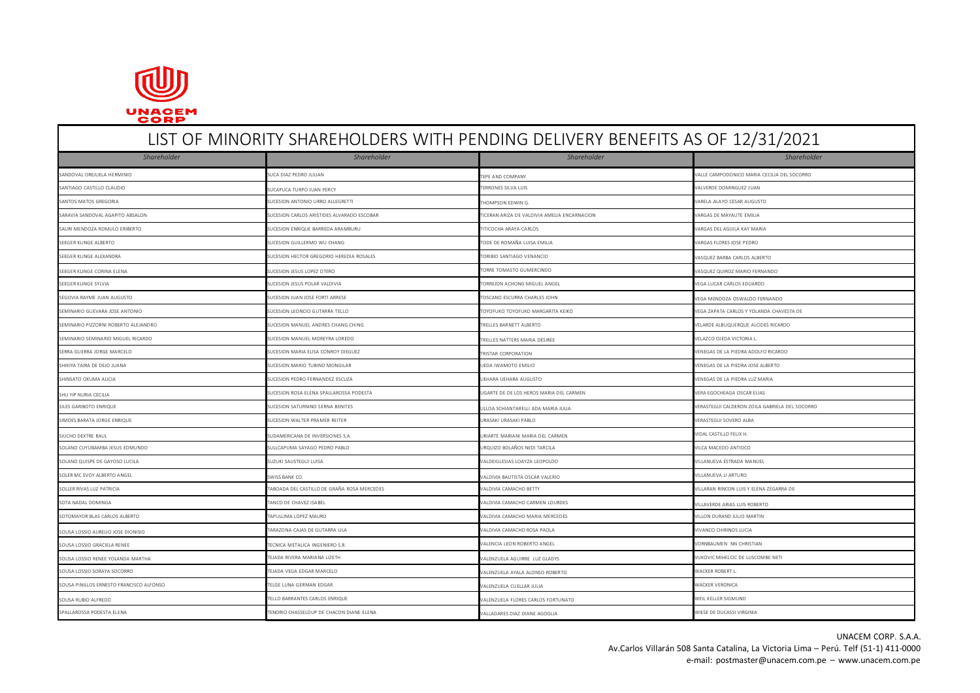

# LIST OF MINORITY SHAREHOLDERS WITH PENDING DELIVERY BENEFITS AS OF 12/31/2021 *Shareholder Shareholder Shareholder Shareholder* SANDOVAL OREJUELA HERMINIO SUCA DIAZ PEDRO JULIAN SUCA DIAZ PEDRO JULIAN TEPE AND COMPANY TEPE AND COMPANY TEPE AND COMPANY SUCA DIAZ PEDRO ON SUCA DIAZ PEDRO JULIAN TEPE AND COMPANY TEPE AND COMPANY SUCA DIAZ PEDRO ON SUC SANTIAGO CASTILLO CLAUDIO SUCAPUCA TURPO JUAN PERCY SUCAPUCA TURPO JUAN PERCY TERRONES SILVA LUIS TERRONES SILVA LUIS SUCAPUCA TURPO JUAN PERCY SUCAPUCA TURPO JUAN PERCY TERRONES SILVA LUIS TERRONES SUCA ENCLOREDOMINGUEZ J SANTOS MATOS GREGORIA SUCESION ANTONIO URRO ALLEGRETTI SUCESION ANTONIO URRO ALLEGRETTI SUCESAR AUGUSTO SUCESAR AUGUSTO SUCESAR AUGUSTO SUCESAR AUGUSTO SUCESAR AUGUSTO SUCESAR AUGUSTO SUCESAR AUGUSTO SUCESAR AUGUSTO SUCESA SARAVIA SANDOVAL AGAPITO ABSALON SUCESION CARLOS ARISTIDES ALVARADO ESCOBAR TICERAN ARIZA DE VALDIVIA AMELIA ENCARNACION SANDOVAL AGAPITO ARIGAS DE MAYAUTE EMILIA SAURI MENDOZA ROMULO ERIBERTO SUCESION ENRIQUE BARREDA ARAMBURU SUCESION ENRIQUE BARREDA ARAMBURU TITICOCHA ARAYA CARLOS TITICOCHA ARAYA CARLOS SUCESION ENRIGAS DEL AGUILA KAY MARIA SEEGER KLINGE ALBERTO SUCESION GUILLERMO WU CHANG SEEGER ON TODE DE ROMAÑA LUISA EMILIA SUCESION SUCESION GUILLERMO WU CHANG SUCESION GUILLERMO WU CHANG SUCESION SULLERMO WU CHANG SUCESION SULLERMO WU CHANG SUCESION SULLER SEEGER KLINGE ALEXANDRA SUCESION HECTOR GREGORIO HEREDIA ROSALES TORIBIO SANTIAGO VENANCIO SANTIAGO VENANCIO SANTIAGO VENANCIO SANTIAGO VENANCIO SANTIAGO VENANCIO SANTIAGO VENANCIO SANTIAGO VENANCIO SANTIAGO VENANCIO SANTI SEEGER KLINGE CORINA ELENA SUCESION DESPREDINISUS LOPEZ OTERO SUCESION JESUS LOPEZ OTERO TORRE TOMASTO GUMERCINDO TORRE TOMASTO GUMERCINDO VASQUEZ QUIROZ MARIO FERNANDO SEEGER KLINGE SYLVIA SUCESION JESUS POLAR VALDIVIA SUCESION JESUS POLAR VALDIVIA SEEGEN SUCESION JESUS POLAR CARLOS EDUARDO SUCESION JESUS POLAR VALDIVIA SUCESION JESUS POLAR CARLOS EDUARDO SUCESION JESUS POLAR VALDIVIA SU SEGOVIA RAYME JUAN AUGUSTO SUCESION JUAN JOSE FORTI ARRESE SUCESION JUAN JOSE FORTI ARRESE SUCESION JUAN JOSE FORTI ARRESE SUCESION JUAN JOSE FORTI ARRESE SUCESION JUAN JOSE FORTI ARRESE SUCESION JUAN JOSE FORTI ARRESE SUC SUCESION LEONCIO GUTARRA TELLO TOYOFUKO TOYOFUKO TOYOFUKO TOYOFUKO TOYOFUKO MARGARITA KEIKO VEGA ZAPATA CARLOS Y YOLANDA CHAVESTA DE SEMINARIO PIZZORNI ROBERTO ALEJANDRO SUCESION MANUEL ANDRES CHANG CHING TRELLES BARNETT ALBERTO SUCLES EN SUCCESION MANUEL ANDRES CHANG CHING TRELLES BARNETT ALBERTO SUCCESION MANUEL ANDRES CHANG CHING SUCCESION MANUEL AND SEMINARIO SEMINARIO MIGUEL RICARDO SUCESION SUCESION MANUEL MOREYRA LOREDO SUCESION SEMINARIO ESPERE TRELLES NATTERS MARIA DESIREE SALTERS ANNE MOREYRA LOREDO SUCESION SUCESION DESIREE SALTERS MARIA DESIREE SALTERS MARIA D SERRA GUERRA JORGE MARCELO SUCESION MARIA ELISA CONROY DIEGUEZ SERRA TRISTAR CORPORATION TRISTAR CORPORATION SUCESION MARIA ELISA CON SUCESION MARIA ELISA CONROY DIEGUEZ SERRA TRISTAR CORPORATION TRISTAR CORPORATION SUCESI SHIKIYA TAIRA DE DEJO JUANA SUCESION DARIO TUBINO MONGILAR SUCESION MARIO TUBINO MONGILAR SHIKIYA TAIRA OSE ALBERTO SUCESION DARIO TUBINO MONGILAR SUCESION DARIO TUBINO MONGILAR SUCESION DARIO TUBINO MONGILAR SUCESION DAN SHINSATO OKUMA ALICIA SUCESION PEDRO FERNANDEZ ESCUZA UNIVERSION PEDRO ETERNANDEZ ESCUZA UEHARA UEHARA UEHARA AUGUSTO UEHARA AUGUSTO UNIVERSION PEDRA LUZ MARIA SHU YIP NURIA CECILIA SUCESION ROSA ELENA SPALLAROSSA PODESTA UGARTE DE LOS HEROS MARIA DEL CARMEN SELLA SPERA EGOCHEAGA OSCAR ELIAS SILES GARIBOTO ENRIQUE SUCESION SATURNINO SERNA BENITES SUCESION SATURNINO SERNA BENITES SUCESION SATURNINO SERNA BENITES SUCESION SATURNINO SERNA BENITES SUCESION SATURNINO SERNA BENITES SUCESION SATURNINO SERNA BENITES S SIMOES BARATA JORGE ENRIQUE SUCESION SUCESION SUCESION WALTER PRAMER REITER SUCESION WALTER PRAMER REITER SUCESION WALTER PRAMER REITER SUCESION WALTER PRAMER REITER SUCESION WALTER PRAMER REITER SUCESION WALTER PRAMER REI SUDAMERICANA DE INVERSIONES S.A. URIARTE MARIANI MARIA DEL CARMEN VIDAL CASTILLO FELIX H. VIDAL CASTILLO FELIX H. SOLANO CUYUBAMBA JESUS EDMUNDO SULTA SULTAPUMA SAYAGO PEDRO PABLO SOLANO SULTA DE URQUIZO BOLAÑOS NEDI TARCILA SOLANOS NEDI TARCILA SOLANOS NEDI TARCILA SOLANOS NEDI TARCILA SOLANOS NEDI TARCILA SOLANOS NEDI TARCILA SOLANO SOLANO QUISPE DE GAYOSO LUCILA NA SUZUKI SAUSTEGUI LUISA SUZUKI SAUSTEGUI LUISA VALDEIGLESIAS LOAYZA LEOPOLDO VALDEIGLESIAS LOAYZA LEOPOLDO VILLANUEVA ESTRADA MANUEL SOLER MC EVOY ALBERTO ANGEL SWISS BANK CO. SOLER SOLER MANAGEMENT OF SOLER MANAGEMENT OF SOLER SOLER SOLER SOLER AND SOLER SOLER AND SOLER SOLER SOLER SOLER SOLER SOLER SOLER SOLER SOLER SOLER SOLER SOLER SOLER SOLER SOLER SOLLER RIVAS LUZ PATRICIA TABOADA DEL CASTILLO DE GRAÑA ROSA MERCEDES VALDIVIA CAMACHO BETTY VILLARAN RINCON LUIS Y ELENA ZEGARRA DE SOTA NADAL DOMINGA SOTA TANCO DE CHAVEZ ISABEL SABEL SOTA DE CHAVEZ UN CALDIVIA CAMACHO CARMEN LOURDES SOTA NADA CAMACHO CARMEN LOURDES VILLAVERDE ARIAS LUIS ROBERTO SOTOMAYOR BLAS CARLOS ALBERTO **TAPULLIMA LOPEZ MAURO NALLO SOTOMATION** VALDIVIA CAMACHO MARIA MERCEDES VILLON DURAND JULIO MARTIN NSA LOSSIO AURELIO JOSE DIONISIO CHIRINOS LUCIA CONSTANTE DE GUTARRA LILA CONSTANTE DE CONSTANTE DE VIVANCO CHIRINOS LUCIA SOUSA LOSSIO GRACIELA RENEE **TECNICA METALICA INGENIERO S.R.** VALENCIA LEON ROBERTO ANGEL VORDEN ENGLISTIAN NORMBAUMEN NN CHRISTIAN OUSA LOSSIO RENEE YOLANDA MARTHA NARTHA TEJADA RIVERA MARIANA LIZETH VALENZUELA AGUIRRE LUZ GLADYS VALENZUELA AGUIRRE LUZ GLADYS VALENZUELA AGUIRRE LUZ GLADYS VALENZUELA AGUIRRE LUZ GLADYS VALENZUELA AGUIRRE LUZ GLADYS VAL OUSA LOSSIO SORAYA SOCORRO SONA SOCORRO SONA SOCORRO SONA CELO CONSTRUIDA E TEJADA VEGA EDGAR MARCELO CONSTRUIDA EN ANALA ALONSO ROBERTO VALENZUELA AYALA ALONSO ROBERTO VALENZUELA AYALA ALONSO ROBERTO VALENZUELA AYALA ALON SOUSA PINILLOS ERNESTO FRANCISCO ALFONSO CONSTANCIONAL EN ENGLECIAL EN TELGE LUNA GERMAN EDGAR VALENZUELA CUELLAR ULIA CUELLAR JULIA CUELLAR JULIA CUELLAR JULIA CUELLAR IN ANTENIS ERNESTO FRANCISCO ALFONSO CONSTANTO POR SE  $SUSA \text{ RUDI} \text{ REDO} \text{ REDO} \text{ REDI} \text{ REDI} \text{ REDI} \text{ REDI} \text{ RDEI} \text{ RDEI} \text{ RDEI} \text{ RDEI} \text{ RDEI} \text{ RDEI} \text{ RDEI} \text{ RDEI} \text{ RDEI} \text{ RDEI} \text{ RDEI} \text{ RDEI} \text{ RDEI} \text{ RDEI} \text{ RDEI} \text{ RDEI} \text{ RDEI} \text{ RDEI} \text{ RDEI} \text{ RDEI} \text{ RDEI} \text{ RDEI} \text{ RDEI} \text{ RDEI} \$ SPALLAROSSA PODESTA ELENA TENORIO CHASSELOUP DE CHACON DIANE ELENA VALLADARES DIAZ DIANE AGOGLIA WIESE DE DUCASSI VIRGINIA